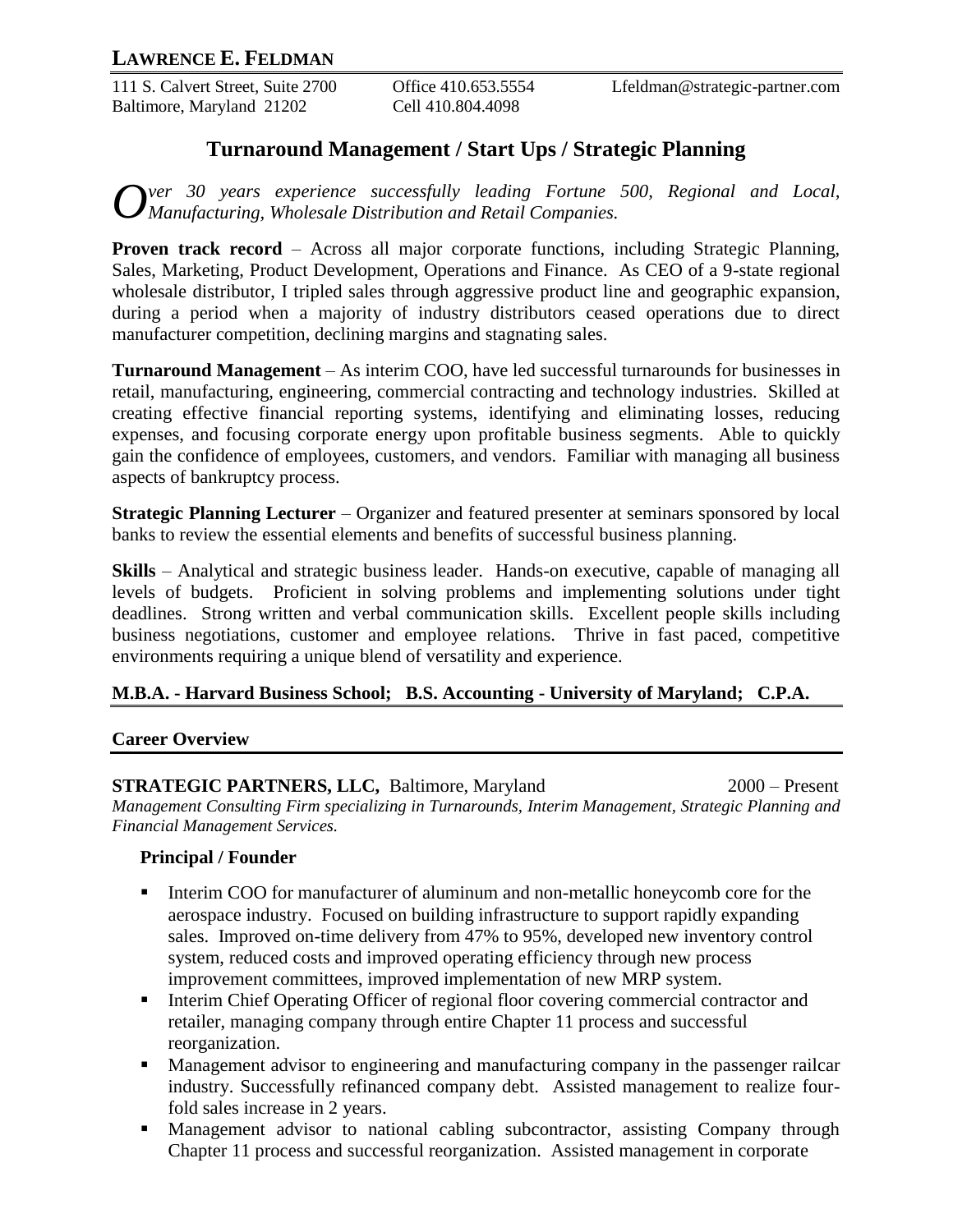111 S. Calvert Street, Suite 2700 Office 410.653.5554 Lfeldman@strategic-partner.com Baltimore, Maryland 21202 Cell 410.804.4098

# **Turnaround Management / Start Ups / Strategic Planning**

*O*<sup>ver</sup> 30 *years experience successfully leading Fortune 500, Regional and Local, Manufacturing, Wholesale Distribution and Retail Companies. Manufacturing, Wholesale Distribution and Retail Companies.*

**Proven track record** – Across all major corporate functions, including Strategic Planning, Sales, Marketing, Product Development, Operations and Finance. As CEO of a 9-state regional wholesale distributor, I tripled sales through aggressive product line and geographic expansion, during a period when a majority of industry distributors ceased operations due to direct manufacturer competition, declining margins and stagnating sales.

**Turnaround Management** – As interim COO, have led successful turnarounds for businesses in retail, manufacturing, engineering, commercial contracting and technology industries. Skilled at creating effective financial reporting systems, identifying and eliminating losses, reducing expenses, and focusing corporate energy upon profitable business segments. Able to quickly gain the confidence of employees, customers, and vendors. Familiar with managing all business aspects of bankruptcy process.

**Strategic Planning Lecturer** – Organizer and featured presenter at seminars sponsored by local banks to review the essential elements and benefits of successful business planning.

**Skills** – Analytical and strategic business leader. Hands-on executive, capable of managing all levels of budgets. Proficient in solving problems and implementing solutions under tight deadlines. Strong written and verbal communication skills. Excellent people skills including business negotiations, customer and employee relations. Thrive in fast paced, competitive environments requiring a unique blend of versatility and experience.

### **M.B.A. - Harvard Business School; B.S. Accounting - University of Maryland; C.P.A.**

#### **Career Overview**

**STRATEGIC PARTNERS, LLC, Baltimore, Maryland 2000 – Present** *Management Consulting Firm specializing in Turnarounds, Interim Management, Strategic Planning and Financial Management Services.*

### **Principal / Founder**

- Interim COO for manufacturer of aluminum and non-metallic honeycomb core for the aerospace industry. Focused on building infrastructure to support rapidly expanding sales. Improved on-time delivery from 47% to 95%, developed new inventory control system, reduced costs and improved operating efficiency through new process improvement committees, improved implementation of new MRP system.
- Interim Chief Operating Officer of regional floor covering commercial contractor and retailer, managing company through entire Chapter 11 process and successful reorganization.
- Management advisor to engineering and manufacturing company in the passenger railcar industry. Successfully refinanced company debt. Assisted management to realize fourfold sales increase in 2 years.
- Management advisor to national cabling subcontractor, assisting Company through Chapter 11 process and successful reorganization. Assisted management in corporate